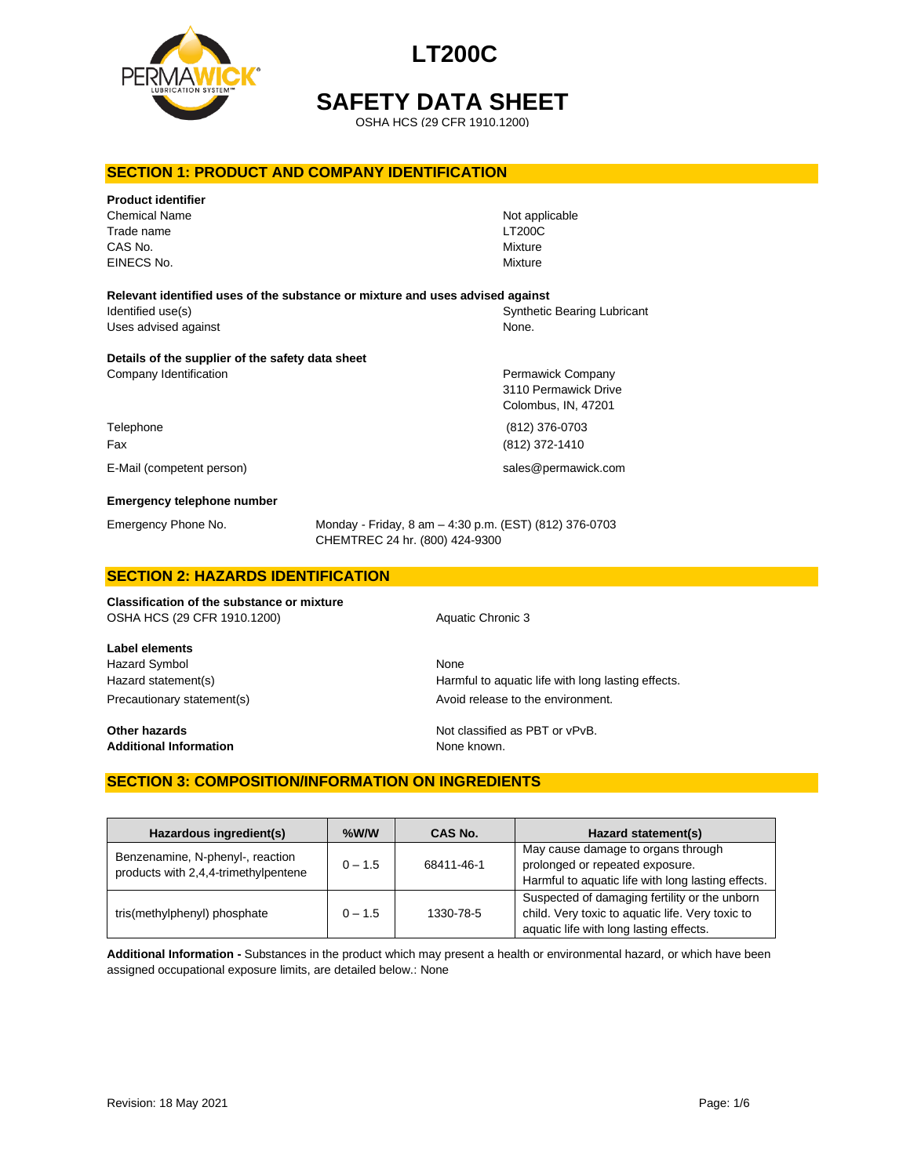



**SAFETY DATA SHEET**

OSHA HCS (29 CFR 1910.1200)

#### **SECTION 1: PRODUCT AND COMPANY IDENTIFICATION**

| <b>Product identifier</b><br><b>Chemical Name</b><br>Trade name<br>CAS No.<br>EINECS No. |                                                                                          | Not applicable<br><b>LT200C</b><br>Mixture<br>Mixture |
|------------------------------------------------------------------------------------------|------------------------------------------------------------------------------------------|-------------------------------------------------------|
| Relevant identified uses of the substance or mixture and uses advised against            |                                                                                          |                                                       |
| Identified use(s)                                                                        |                                                                                          | <b>Synthetic Bearing Lubricant</b>                    |
| Uses advised against                                                                     |                                                                                          | None.                                                 |
| Details of the supplier of the safety data sheet<br>Company Identification               |                                                                                          | Permawick Company                                     |
|                                                                                          |                                                                                          | 3110 Permawick Drive                                  |
|                                                                                          |                                                                                          | Colombus, IN, 47201                                   |
| Telephone                                                                                |                                                                                          | (812) 376-0703                                        |
| Fax                                                                                      |                                                                                          | (812) 372-1410                                        |
| E-Mail (competent person)                                                                |                                                                                          | sales@permawick.com                                   |
| <b>Emergency telephone number</b>                                                        |                                                                                          |                                                       |
| Emergency Phone No.                                                                      | Monday - Friday, 8 am - 4:30 p.m. (EST) (812) 376-0703<br>CHEMTREC 24 hr. (800) 424-9300 |                                                       |
| <b>APATIALLA LIATARRA IRPUTIBLA LTIALL</b>                                               |                                                                                          |                                                       |

# **SECTION 2: HAZARDS IDENTIFICATION**

**Classification of the substance or mixture** OSHA HCS (29 CFR 1910.1200) Aquatic Chronic 3

**Label elements** Hazard Symbol None

**Additional Information** None known.

Hazard statement(s) example a Harmful to aquatic life with long lasting effects. Precautionary statement(s) example a provid release to the environment.

**Other hazards Other hazards Not classified as PBT or vPvB.** 

### **SECTION 3: COMPOSITION/INFORMATION ON INGREDIENTS**

| Hazardous ingredient(s)                                                  | $%$ W/W   | CAS No.    | Hazard statement(s)                                                                                                                          |
|--------------------------------------------------------------------------|-----------|------------|----------------------------------------------------------------------------------------------------------------------------------------------|
| Benzenamine, N-phenyl-, reaction<br>products with 2,4,4-trimethylpentene | $0 - 1.5$ | 68411-46-1 | May cause damage to organs through<br>prolonged or repeated exposure.<br>Harmful to aquatic life with long lasting effects.                  |
| tris(methylphenyl) phosphate                                             | $0 - 1.5$ | 1330-78-5  | Suspected of damaging fertility or the unborn<br>child. Very toxic to aquatic life. Very toxic to<br>aquatic life with long lasting effects. |

**Additional Information -** Substances in the product which may present a health or environmental hazard, or which have been assigned occupational exposure limits, are detailed below.: None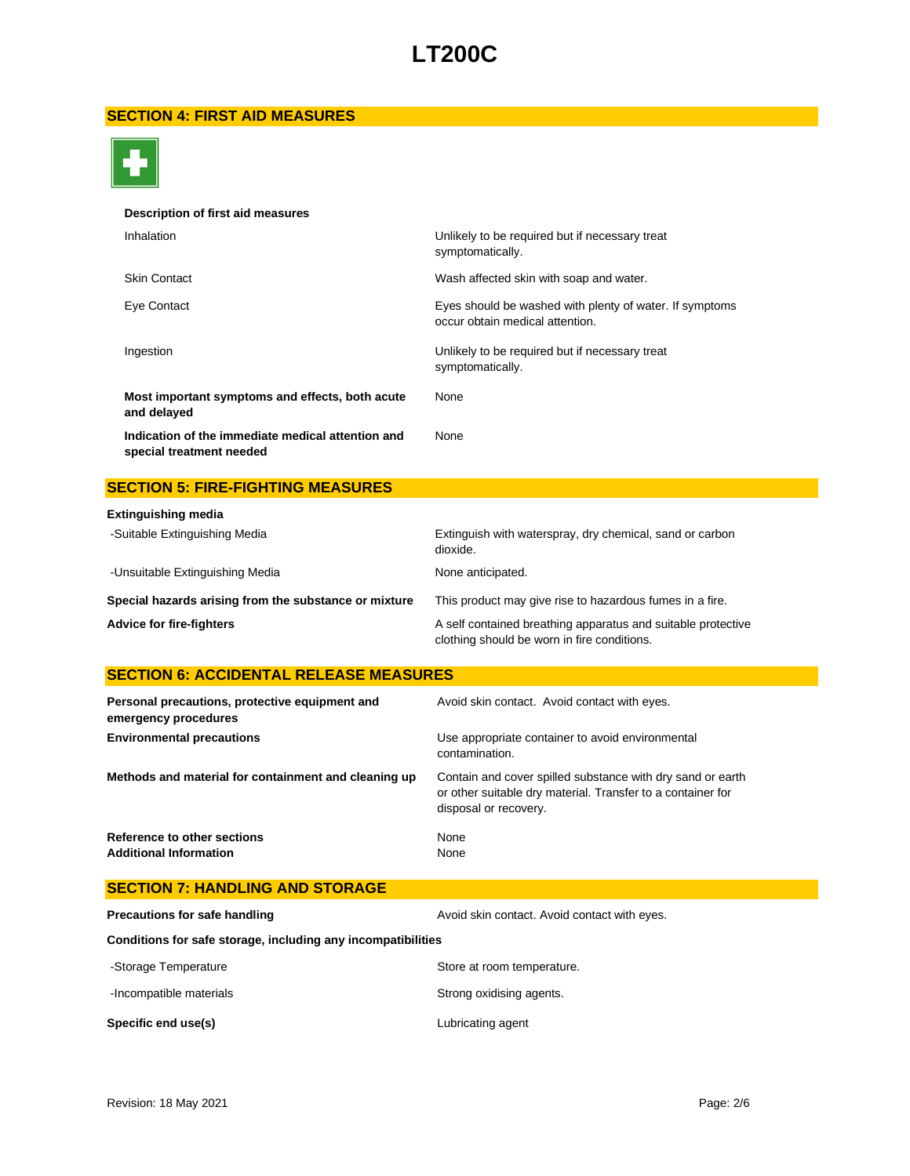# **SECTION 4: FIRST AID MEASURES**



#### **Description of first aid measures**

| Inhalation                                                                    | Unlikely to be required but if necessary treat<br>symptomatically.                         |
|-------------------------------------------------------------------------------|--------------------------------------------------------------------------------------------|
| <b>Skin Contact</b>                                                           | Wash affected skin with soap and water.                                                    |
| Eye Contact                                                                   | Eyes should be washed with plenty of water. If symptoms<br>occur obtain medical attention. |
| Ingestion                                                                     | Unlikely to be required but if necessary treat<br>symptomatically.                         |
| Most important symptoms and effects, both acute<br>and delayed                | None                                                                                       |
| Indication of the immediate medical attention and<br>special treatment needed | None                                                                                       |

## **SECTION 5: FIRE-FIGHTING MEASURES**

| <b>Extinguishing media</b>                            |                                                                                                             |
|-------------------------------------------------------|-------------------------------------------------------------------------------------------------------------|
| -Suitable Extinguishing Media                         | Extinguish with waterspray, dry chemical, sand or carbon<br>dioxide.                                        |
| -Unsuitable Extinguishing Media                       | None anticipated.                                                                                           |
| Special hazards arising from the substance or mixture | This product may give rise to hazardous fumes in a fire.                                                    |
| <b>Advice for fire-fighters</b>                       | A self contained breathing apparatus and suitable protective<br>clothing should be worn in fire conditions. |

## **SECTION 6: ACCIDENTAL RELEASE MEASURES**

| Personal precautions, protective equipment and<br>emergency procedures | Avoid skin contact. Avoid contact with eyes.                                                                                                       |
|------------------------------------------------------------------------|----------------------------------------------------------------------------------------------------------------------------------------------------|
| <b>Environmental precautions</b>                                       | Use appropriate container to avoid environmental<br>contamination.                                                                                 |
| Methods and material for containment and cleaning up                   | Contain and cover spilled substance with dry sand or earth<br>or other suitable dry material. Transfer to a container for<br>disposal or recovery. |
| Reference to other sections<br><b>Additional Information</b>           | None<br>None                                                                                                                                       |

| <b>SECTION 7: HANDLING AND STORAGE</b>                       |                                              |  |
|--------------------------------------------------------------|----------------------------------------------|--|
| Precautions for safe handling                                | Avoid skin contact. Avoid contact with eyes. |  |
| Conditions for safe storage, including any incompatibilities |                                              |  |
| -Storage Temperature                                         | Store at room temperature.                   |  |
| -Incompatible materials                                      | Strong oxidising agents.                     |  |
| Specific end use(s)                                          | Lubricating agent                            |  |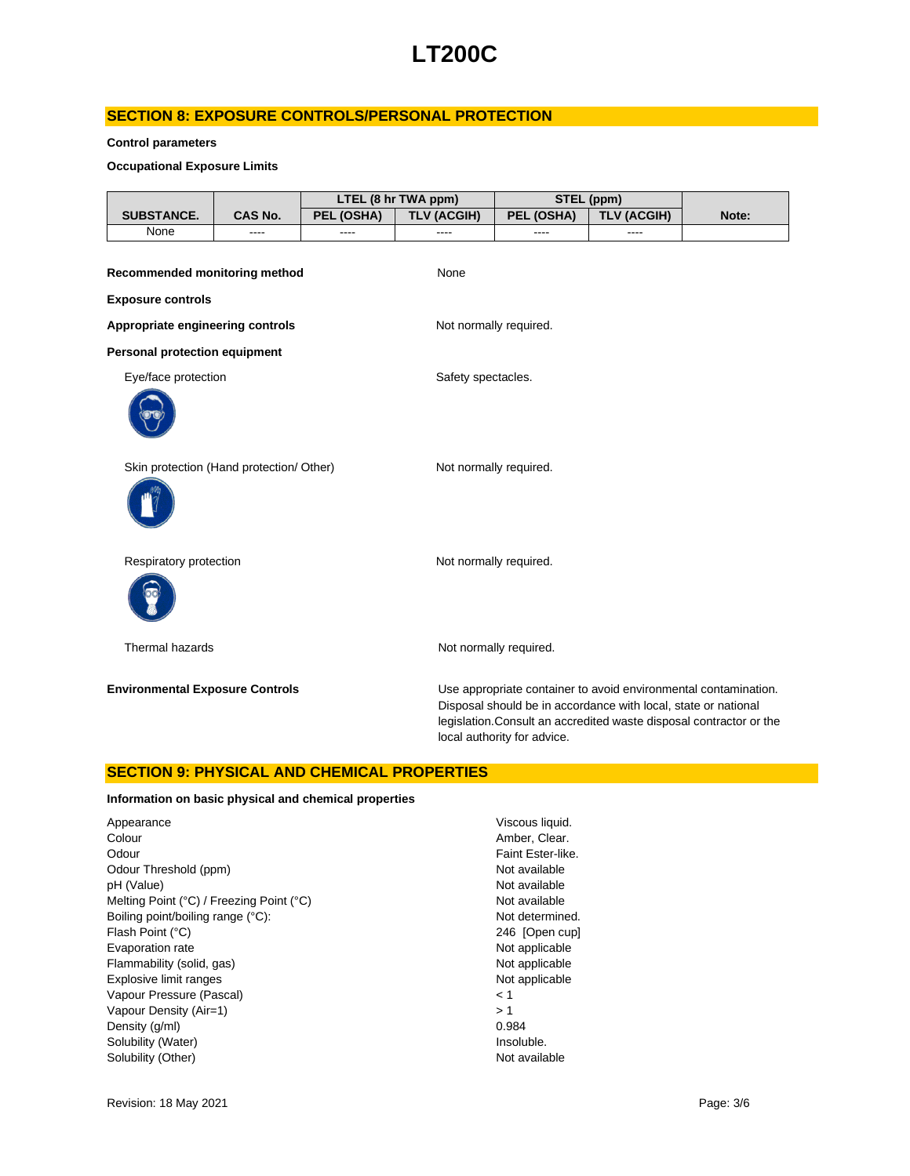### **SECTION 8: EXPOSURE CONTROLS/PERSONAL PROTECTION**

#### **Control parameters**

#### **Occupational Exposure Limits**

|                                          |         |            | LTEL (8 hr TWA ppm)    | STEL (ppm)                  |                                                                |                                                                                                                                        |
|------------------------------------------|---------|------------|------------------------|-----------------------------|----------------------------------------------------------------|----------------------------------------------------------------------------------------------------------------------------------------|
| SUBSTANCE.                               | CAS No. | PEL (OSHA) | <b>TLV (ACGIH)</b>     | PEL (OSHA)                  | <b>TLV (ACGIH)</b>                                             | Note:                                                                                                                                  |
| None                                     |         |            |                        |                             |                                                                |                                                                                                                                        |
| Recommended monitoring method            |         |            | None                   |                             |                                                                |                                                                                                                                        |
| <b>Exposure controls</b>                 |         |            |                        |                             |                                                                |                                                                                                                                        |
| Appropriate engineering controls         |         |            | Not normally required. |                             |                                                                |                                                                                                                                        |
| <b>Personal protection equipment</b>     |         |            |                        |                             |                                                                |                                                                                                                                        |
| Eye/face protection                      |         |            | Safety spectacles.     |                             |                                                                |                                                                                                                                        |
|                                          |         |            |                        |                             |                                                                |                                                                                                                                        |
| Skin protection (Hand protection/ Other) |         |            | Not normally required. |                             |                                                                |                                                                                                                                        |
|                                          |         |            |                        |                             |                                                                |                                                                                                                                        |
| Respiratory protection                   |         |            | Not normally required. |                             |                                                                |                                                                                                                                        |
|                                          |         |            |                        |                             |                                                                |                                                                                                                                        |
| Thermal hazards                          |         |            |                        | Not normally required.      |                                                                |                                                                                                                                        |
| <b>Environmental Exposure Controls</b>   |         |            |                        | local authority for advice. | Disposal should be in accordance with local, state or national | Use appropriate container to avoid environmental contamination.<br>legislation. Consult an accredited waste disposal contractor or the |

#### **SECTION 9: PHYSICAL AND CHEMICAL PROPERTIES**

#### **Information on basic physical and chemical properties**

| Appearance                               | Visco  |
|------------------------------------------|--------|
| Colour                                   | Ambe   |
| Odour                                    | Faint  |
| Odour Threshold (ppm)                    | Not a  |
| pH (Value)                               | Not a  |
| Melting Point (°C) / Freezing Point (°C) | Not a  |
| Boiling point/boiling range (°C):        | Not d  |
| Flash Point (°C)                         | 246    |
| Evaporation rate                         | Not a  |
| Flammability (solid, gas)                | Not a  |
| Explosive limit ranges                   | Not a  |
| Vapour Pressure (Pascal)                 | < 1    |
| Vapour Density (Air=1)                   | >1     |
| Density (q/ml)                           | 0.984  |
| Solubility (Water)                       | Insolu |
| Solubility (Other)                       | Not a  |
|                                          |        |

Viscous liquid. Amber, Clear. Faint Ester-like. Not available Not available Not available Not determined. 246 [Open cup] Not applicable Not applicable Not applicable Insoluble. Not available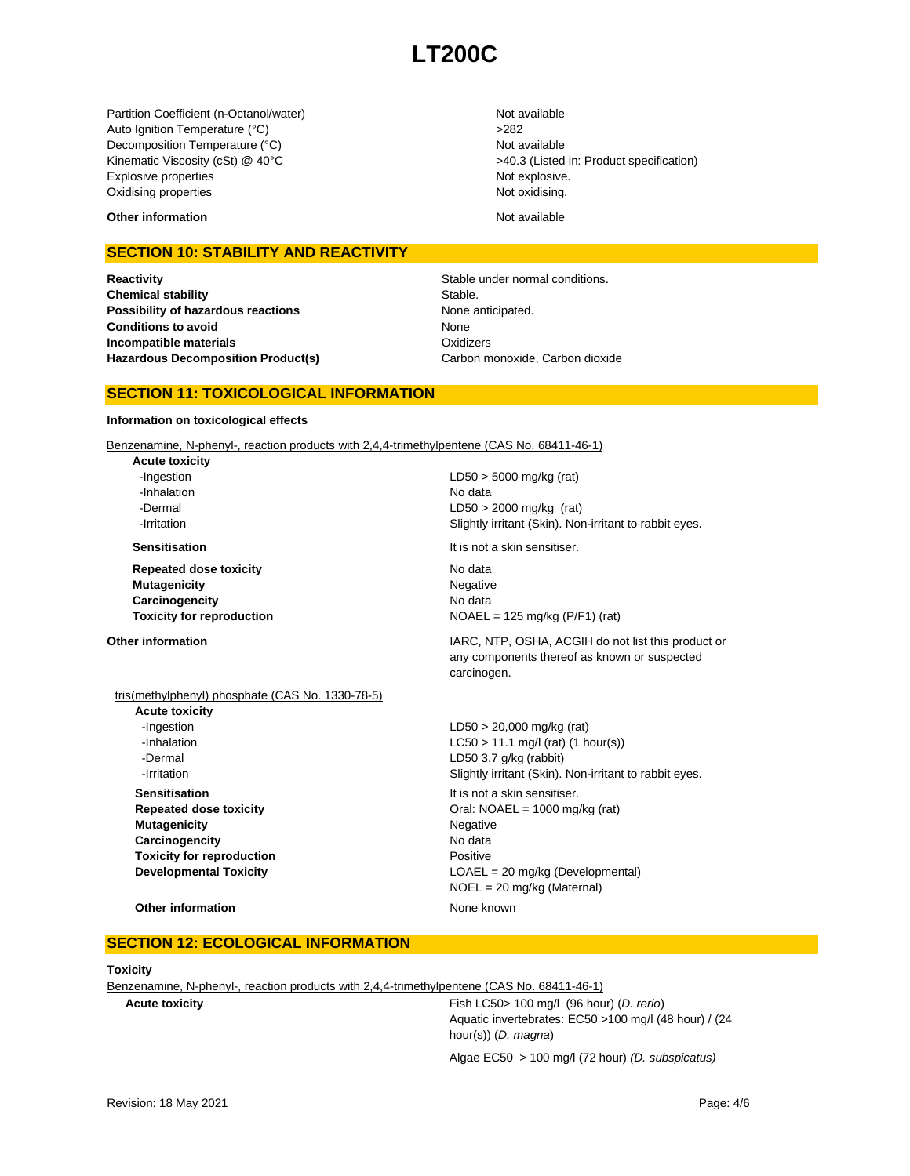Partition Coefficient (n-Octanol/water) Not available Auto Ignition Temperature (°C) <br>
>282 Decomposition Temperature (°C) Not available Kinematic Viscosity (cSt) @ 40°C  $>40.3$  (Listed in: Product specification) Explosive properties **Note 2018** Not explosive. Oxidising properties Not oxidising.

**Other information** Not available

### **SECTION 10: STABILITY AND REACTIVITY**

**Reactivity Reactivity Stable under normal conditions. Chemical stability** Stable. **Possibility of hazardous reactions** None anticipated. **Conditions to avoid Incompatible materials Hazardous Decomposition Product(s)** Carbon monoxide, Carbon dioxide

None **Oxidizers** 

### **SECTION 11: TOXICOLOGICAL INFORMATION**

#### **Information on toxicological effects**

Benzenamine, N-phenyl-, reaction products with 2,4,4-trimethylpentene (CAS No. 68411-46-1)

**Acute toxicity** -Ingestion LD50 > 5000 mg/kg (rat) -Inhalation No data

**Repeated dose toxicity** No data **Mutagenicity** Negative **Carcinogencity** No data

#### **Other information IARC, NTP, OSHA, ACGIH do not list this product or IARC, NTP, OSHA, ACGIH do not list this product or**

 -Dermal LD50 > 2000 mg/kg (rat) **-Irritation 1998 1998 1998 1998 Slightly irritant (Skin). Non-irritant to rabbit eyes. Sensitisation It is not a skin sensitiser.** 

**Toxicity for reproduction**  $NOAEL = 125 mg/kg (P/F1) (rat)$ 

NOEL = 20 mg/kg (Maternal)

#### any components thereof as known or suspected carcinogen.

### tris(methylphenyl) phosphate (CAS No. 1330-78-5)

**Acute toxicity** -Dermal LD50 3.7 g/kg (rabbit) **Sensitisation** It is not a skin sensitiser. **Mutagenicity** Negative **Carcinogencity** No data **Toxicity for reproduction Positive Developmental Toxicity LOAEL** = 20 mg/kg (Developmental)

-Ingestion LD50 > 20,000 mg/kg (rat)  $-LCSO > 11.1$  mg/l (rat) (1 hour(s)) **-Irritation Slightly irritant (Skin). Non-irritant to rabbit eyes. Repeated dose toxicity Call: NOAEL = 1000 mg/kg (rat)** Oral: NOAEL = 1000 mg/kg (rat)

**Other information** None known

#### **SECTION 12: ECOLOGICAL INFORMATION**

#### **Toxicity**

Benzenamine, N-phenyl-, reaction products with 2,4,4-trimethylpentene (CAS No. 68411-46-1)

**Acute toxicity** Fish LC50> 100 mg/l (96 hour) (*D. rerio*) Aquatic invertebrates: EC50 >100 mg/l (48 hour) / (24 hour(s)) (*D. magna*)

Algae EC50 > 100 mg/l (72 hour) *(D. subspicatus)*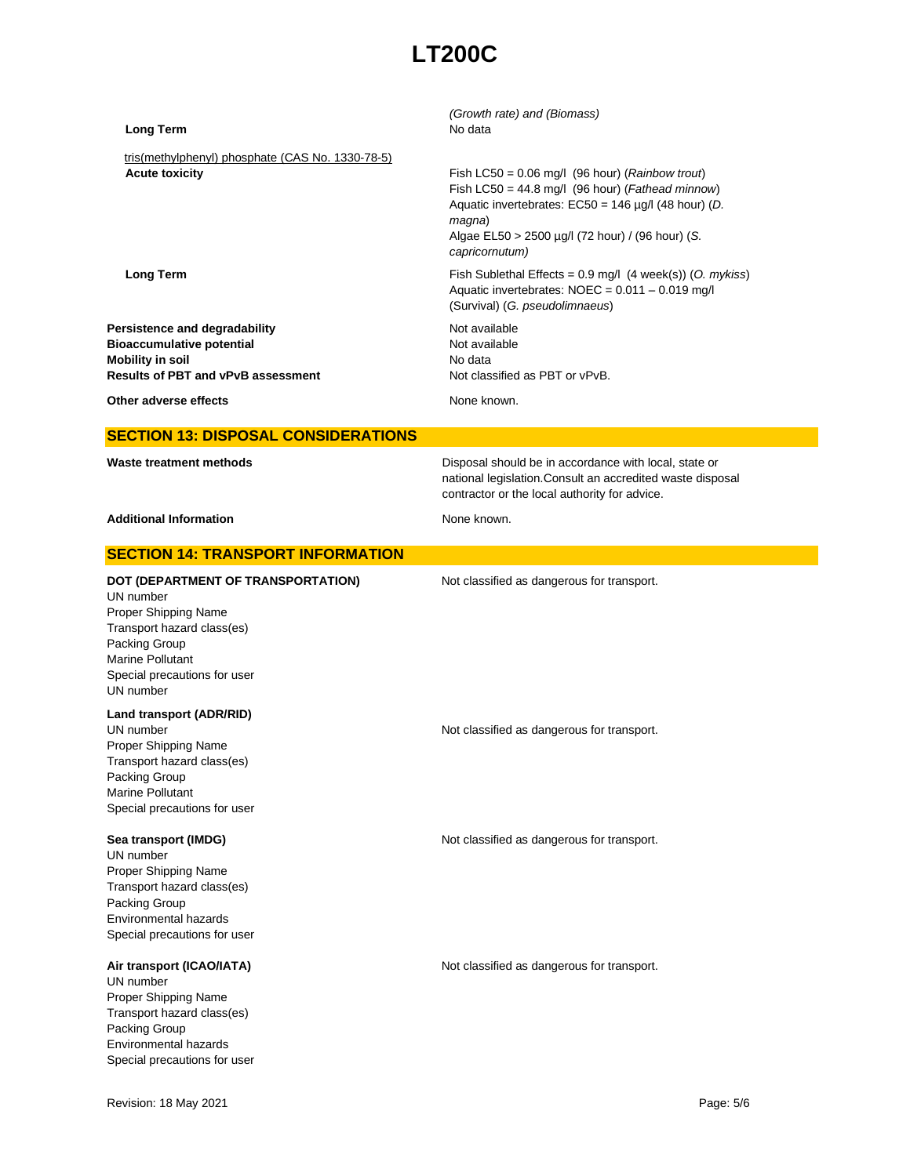| tris(methylphenyl) phosphate (CAS No. 1330-78-5)<br><b>Acute toxicity</b><br>Fish LC50 = $0.06$ mg/l (96 hour) ( <i>Rainbow trout</i> )<br>Fish LC50 = $44.8$ mg/l (96 hour) ( <i>Fathead minnow</i> )<br>Aquatic invertebrates: $EC50 = 146 \mu g/l$ (48 hour) (D.<br>magna)<br>Algae EL50 > 2500 µg/l (72 hour) / (96 hour) (S.<br>capricornutum)<br>Fish Sublethal Effects = $0.9$ mg/l (4 week(s)) (O. mykiss)<br><b>Long Term</b><br>Aquatic invertebrates: $NOEC = 0.011 - 0.019$ mg/l<br>(Survival) (G. pseudolimnaeus)<br>Not available<br>Persistence and degradability<br><b>Bioaccumulative potential</b><br>Not available<br><b>Mobility in soil</b><br>No data<br><b>Results of PBT and vPvB assessment</b><br>Not classified as PBT or vPvB.<br>Other adverse effects<br>None known.<br><b>SECTION 13: DISPOSAL CONSIDERATIONS</b><br>Waste treatment methods<br>Disposal should be in accordance with local, state or<br>national legislation. Consult an accredited waste disposal<br>contractor or the local authority for advice.<br><b>Additional Information</b><br>None known.<br><b>SECTION 14: TRANSPORT INFORMATION</b><br>DOT (DEPARTMENT OF TRANSPORTATION)<br>Not classified as dangerous for transport.<br>UN number<br>Proper Shipping Name<br>Transport hazard class(es)<br>Packing Group<br><b>Marine Pollutant</b><br>Special precautions for user<br>UN number<br>Land transport (ADR/RID)<br>UN number<br>Not classified as dangerous for transport.<br>Proper Shipping Name<br>Transport hazard class(es)<br>Packing Group<br>Marine Pollutant<br>Special precautions for user<br>Sea transport (IMDG)<br>Not classified as dangerous for transport.<br>UN number<br>Proper Shipping Name<br>Transport hazard class(es)<br>Packing Group<br><b>Environmental hazards</b><br>Special precautions for user<br>Air transport (ICAO/IATA)<br>Not classified as dangerous for transport.<br>UN number<br>Proper Shipping Name<br>Transport hazard class(es)<br>Packing Group<br>Environmental hazards<br>Special precautions for user | <b>Long Term</b> | (Growth rate) and (Biomass)<br>No data |
|---------------------------------------------------------------------------------------------------------------------------------------------------------------------------------------------------------------------------------------------------------------------------------------------------------------------------------------------------------------------------------------------------------------------------------------------------------------------------------------------------------------------------------------------------------------------------------------------------------------------------------------------------------------------------------------------------------------------------------------------------------------------------------------------------------------------------------------------------------------------------------------------------------------------------------------------------------------------------------------------------------------------------------------------------------------------------------------------------------------------------------------------------------------------------------------------------------------------------------------------------------------------------------------------------------------------------------------------------------------------------------------------------------------------------------------------------------------------------------------------------------------------------------------------------------------------------------------------------------------------------------------------------------------------------------------------------------------------------------------------------------------------------------------------------------------------------------------------------------------------------------------------------------------------------------------------------------------------------------------------------------------------------------------------------------------------|------------------|----------------------------------------|
|                                                                                                                                                                                                                                                                                                                                                                                                                                                                                                                                                                                                                                                                                                                                                                                                                                                                                                                                                                                                                                                                                                                                                                                                                                                                                                                                                                                                                                                                                                                                                                                                                                                                                                                                                                                                                                                                                                                                                                                                                                                                     |                  |                                        |
|                                                                                                                                                                                                                                                                                                                                                                                                                                                                                                                                                                                                                                                                                                                                                                                                                                                                                                                                                                                                                                                                                                                                                                                                                                                                                                                                                                                                                                                                                                                                                                                                                                                                                                                                                                                                                                                                                                                                                                                                                                                                     |                  |                                        |
|                                                                                                                                                                                                                                                                                                                                                                                                                                                                                                                                                                                                                                                                                                                                                                                                                                                                                                                                                                                                                                                                                                                                                                                                                                                                                                                                                                                                                                                                                                                                                                                                                                                                                                                                                                                                                                                                                                                                                                                                                                                                     |                  |                                        |
|                                                                                                                                                                                                                                                                                                                                                                                                                                                                                                                                                                                                                                                                                                                                                                                                                                                                                                                                                                                                                                                                                                                                                                                                                                                                                                                                                                                                                                                                                                                                                                                                                                                                                                                                                                                                                                                                                                                                                                                                                                                                     |                  |                                        |
|                                                                                                                                                                                                                                                                                                                                                                                                                                                                                                                                                                                                                                                                                                                                                                                                                                                                                                                                                                                                                                                                                                                                                                                                                                                                                                                                                                                                                                                                                                                                                                                                                                                                                                                                                                                                                                                                                                                                                                                                                                                                     |                  |                                        |
|                                                                                                                                                                                                                                                                                                                                                                                                                                                                                                                                                                                                                                                                                                                                                                                                                                                                                                                                                                                                                                                                                                                                                                                                                                                                                                                                                                                                                                                                                                                                                                                                                                                                                                                                                                                                                                                                                                                                                                                                                                                                     |                  |                                        |
|                                                                                                                                                                                                                                                                                                                                                                                                                                                                                                                                                                                                                                                                                                                                                                                                                                                                                                                                                                                                                                                                                                                                                                                                                                                                                                                                                                                                                                                                                                                                                                                                                                                                                                                                                                                                                                                                                                                                                                                                                                                                     |                  |                                        |
|                                                                                                                                                                                                                                                                                                                                                                                                                                                                                                                                                                                                                                                                                                                                                                                                                                                                                                                                                                                                                                                                                                                                                                                                                                                                                                                                                                                                                                                                                                                                                                                                                                                                                                                                                                                                                                                                                                                                                                                                                                                                     |                  |                                        |
|                                                                                                                                                                                                                                                                                                                                                                                                                                                                                                                                                                                                                                                                                                                                                                                                                                                                                                                                                                                                                                                                                                                                                                                                                                                                                                                                                                                                                                                                                                                                                                                                                                                                                                                                                                                                                                                                                                                                                                                                                                                                     |                  |                                        |
|                                                                                                                                                                                                                                                                                                                                                                                                                                                                                                                                                                                                                                                                                                                                                                                                                                                                                                                                                                                                                                                                                                                                                                                                                                                                                                                                                                                                                                                                                                                                                                                                                                                                                                                                                                                                                                                                                                                                                                                                                                                                     |                  |                                        |
|                                                                                                                                                                                                                                                                                                                                                                                                                                                                                                                                                                                                                                                                                                                                                                                                                                                                                                                                                                                                                                                                                                                                                                                                                                                                                                                                                                                                                                                                                                                                                                                                                                                                                                                                                                                                                                                                                                                                                                                                                                                                     |                  |                                        |
| Page: 5/6<br>Revision: 18 May 2021                                                                                                                                                                                                                                                                                                                                                                                                                                                                                                                                                                                                                                                                                                                                                                                                                                                                                                                                                                                                                                                                                                                                                                                                                                                                                                                                                                                                                                                                                                                                                                                                                                                                                                                                                                                                                                                                                                                                                                                                                                  |                  |                                        |